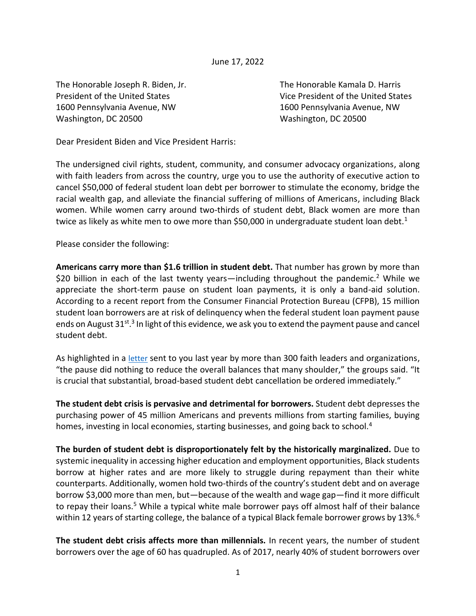June 17, 2022

The Honorable Joseph R. Biden, Jr. The Honorable Kamala D. Harris 1600 Pennsylvania Avenue, NW 1600 Pennsylvania Avenue, NW Washington, DC 20500 Washington, DC 20500

President of the United States The Vice President of the United States

Dear President Biden and Vice President Harris:

The undersigned civil rights, student, community, and consumer advocacy organizations, along with faith leaders from across the country, urge you to use the authority of executive action to cancel \$50,000 of federal student loan debt per borrower to stimulate the economy, bridge the racial wealth gap, and alleviate the financial suffering of millions of Americans, including Black women. While women carry around two-thirds of student debt, Black women are more than twice as likely as white men to owe more than \$50,000 in undergraduate student loan debt.<sup>1</sup>

## Please consider the following:

**Americans carry more than \$1.6 trillion in student debt.** That number has grown by more than \$20 billion in each of the last twenty years—including throughout the pandemic.<sup>2</sup> While we appreciate the short-term pause on student loan payments, it is only a band-aid solution. According to a recent report from the Consumer Financial Protection Bureau (CFPB), 15 million student loan borrowers are at risk of delinquency when the federal student loan payment pause ends on August 31st.<sup>3</sup> In light of this evidence, we ask you to extend the payment pause and cancel student debt.

As highlighted in a [letter](https://www.responsiblelending.org/sites/default/files/uploads/files/faith-letter-studentdebt-aug2021.pdf) sent to you last year by more than 300 faith leaders and organizations, "the pause did nothing to reduce the overall balances that many shoulder," the groups said. "It is crucial that substantial, broad-based student debt cancellation be ordered immediately."

**The student debt crisis is pervasive and detrimental for borrowers.** Student debt depresses the purchasing power of 45 million Americans and prevents millions from starting families, buying homes, investing in local economies, starting businesses, and going back to school.<sup>4</sup>

**The burden of student debt is disproportionately felt by the historically marginalized.** Due to systemic inequality in accessing higher education and employment opportunities, Black students borrow at higher rates and are more likely to struggle during repayment than their white counterparts. Additionally, women hold two-thirds of the country's student debt and on average borrow \$3,000 more than men, but—because of the wealth and wage gap—find it more difficult to repay their loans.<sup>5</sup> While a typical white male borrower pays off almost half of their balance within 12 years of starting college, the balance of a typical Black female borrower grows by 13%.<sup>6</sup>

**The student debt crisis affects more than millennials.** In recent years, the number of student borrowers over the age of 60 has quadrupled. As of 2017, nearly 40% of student borrowers over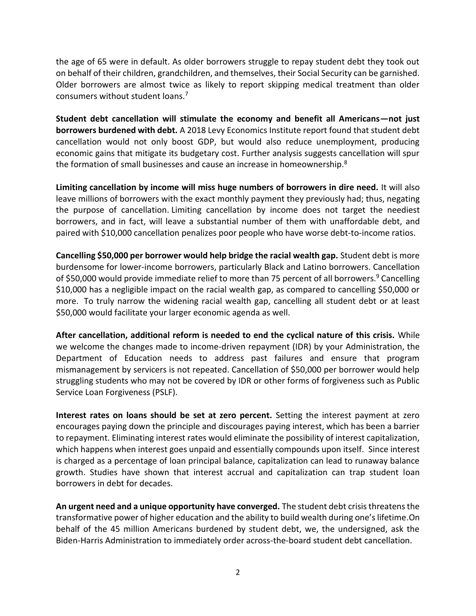the age of 65 were in default. As older borrowers struggle to repay student debt they took out on behalf of their children, grandchildren, and themselves, their Social Security can be garnished. Older borrowers are almost twice as likely to report skipping medical treatment than older consumers without student loans.<sup>7</sup>

**Student debt cancellation will stimulate the economy and benefit all Americans—not just borrowers burdened with debt.** A 2018 Levy Economics Institute report found that student debt cancellation would not only boost GDP, but would also reduce unemployment, producing economic gains that mitigate its budgetary cost. Further analysis suggests cancellation will spur the formation of small businesses and cause an increase in homeownership.<sup>8</sup>

**Limiting cancellation by income will miss huge numbers of borrowers in dire need.** It will also leave millions of borrowers with the exact monthly payment they previously had; thus, negating the purpose of cancellation. Limiting cancellation by income does not target the neediest borrowers, and in fact, will leave a substantial number of them with unaffordable debt, and paired with \$10,000 cancellation penalizes poor people who have worse debt-to-income ratios.

**Cancelling \$50,000 per borrower would help bridge the racial wealth gap.** Student debt is more burdensome for lower-income borrowers, particularly Black and Latino borrowers. Cancellation of \$50,000 would provide immediate relief to more than 75 percent of all borrowers.<sup>9</sup> Cancelling \$10,000 has a negligible impact on the racial wealth gap, as compared to cancelling \$50,000 or more. To truly narrow the widening racial wealth gap, cancelling all student debt or at least \$50,000 would facilitate your larger economic agenda as well.

**After cancellation, additional reform is needed to end the cyclical nature of this crisis.** While we welcome the changes made to income-driven repayment (IDR) by your Administration, the Department of Education needs to address past failures and ensure that program mismanagement by servicers is not repeated. Cancellation of \$50,000 per borrower would help struggling students who may not be covered by IDR or other forms of forgiveness such as Public Service Loan Forgiveness (PSLF).

**Interest rates on loans should be set at zero percent.** Setting the interest payment at zero encourages paying down the principle and discourages paying interest, which has been a barrier to repayment. Eliminating interest rates would eliminate the possibility of interest capitalization, which happens when interest goes unpaid and essentially compounds upon itself. Since interest is charged as a percentage of loan principal balance, capitalization can lead to runaway balance growth. Studies have shown that interest accrual and capitalization can trap student loan borrowers in debt for decades.

**An urgent need and a unique opportunity have converged.** The student debt crisis threatens the transformative power of higher education and the ability to build wealth during one's lifetime.On behalf of the 45 million Americans burdened by student debt, we, the undersigned, ask the Biden-Harris Administration to immediately order across-the-board student debt cancellation.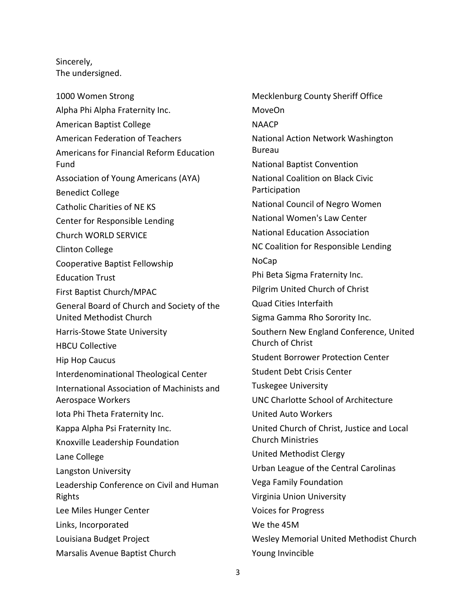Sincerely, The undersigned.

1000 Women Strong Alpha Phi Alpha Fraternity Inc. American Baptist College American Federation of Teachers Americans for Financial Reform Education Fund Association of Young Americans (AYA) Benedict College Catholic Charities of NE KS Center for Responsible Lending Church WORLD SERVICE Clinton College Cooperative Baptist Fellowship Education Trust First Baptist Church/MPAC General Board of Church and Society of the United Methodist Church Harris-Stowe State University HBCU Collective Hip Hop Caucus Interdenominational Theological Center International Association of Machinists and Aerospace Workers Iota Phi Theta Fraternity Inc. Kappa Alpha Psi Fraternity Inc. Knoxville Leadership Foundation Lane College Langston University Leadership Conference on Civil and Human Rights Lee Miles Hunger Center Links, Incorporated Louisiana Budget Project Marsalis Avenue Baptist Church

Mecklenburg County Sheriff Office MoveOn **NAACP** National Action Network Washington Bureau National Baptist Convention National Coalition on Black Civic Participation National Council of Negro Women National Women's Law Center National Education Association NC Coalition for Responsible Lending NoCap Phi Beta Sigma Fraternity Inc. Pilgrim United Church of Christ Quad Cities Interfaith Sigma Gamma Rho Sorority Inc. Southern New England Conference, United Church of Christ Student Borrower Protection Center Student Debt Crisis Center Tuskegee University UNC Charlotte School of Architecture United Auto Workers United Church of Christ, Justice and Local Church Ministries United Methodist Clergy Urban League of the Central Carolinas Vega Family Foundation Virginia Union University Voices for Progress We the 45M Wesley Memorial United Methodist Church Young Invincible